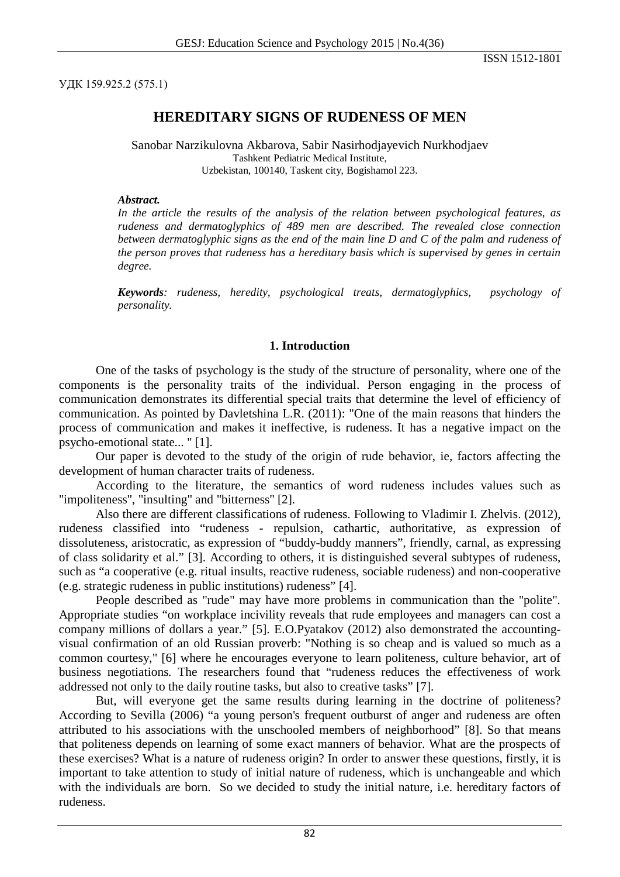УДК 159.925.2 (575.1)

# **HEREDITARY SIGNS OF RUDENESS OF MEN**

Sanobar Narzikulovna Akbarova, Sabir Nasirhodjayevich Nurkhodjaev Tashkent Pediatric Medical Institute, Uzbekistan, 100140, Taskent city, Bogishamol 223.

#### *Abstract.*

*In the article the results of the analysis of the relation between psychological features, as rudeness and dermatoglyphics of 489 men are described. The revealed close connection between dermatoglyphic signs as the end of the main line D and C of the palm and rudeness of the person proves that rudeness has a hereditary basis which is supervised by genes in certain degree.*

*Keywords: rudeness, heredity, psychological treats, dermatoglyphics, psychology of personality.*

#### **1. Introduction**

One of the tasks of psychology is the study of the structure of personality, where one of the components is the personality traits of the individual. Person engaging in the process of communication demonstrates its differential special traits that determine the level of efficiency of communication. As pointed by Davletshina L.R. (2011): "One of the main reasons that hinders the process of communication and makes it ineffective, is rudeness. It has a negative impact on the psycho-emotional state... " [1].

Our paper is devoted to the study of the origin of rude behavior, ie, factors affecting the development of human character traits of rudeness.

According to the literature, the semantics of word rudeness includes values such as "impoliteness", "insulting" and "bitterness" [2].

Also there are different classifications of rudeness. Following to Vladimir I. Zhelvis. (2012), rudeness classified into "rudeness - repulsion, cathartic, authoritative, as expression of dissoluteness, aristocratic, as expression of "buddy-buddy manners", friendly, carnal, as expressing of class solidarity et al." [3]. According to others, it is distinguished several subtypes of rudeness, such as "a cooperative (e.g. ritual insults, reactive rudeness, sociable rudeness) and non-cooperative (e.g. strategic rudeness in public institutions) rudeness" [4].

People described as "rude" may have more problems in communication than the "polite". Appropriate studies "on workplace incivility reveals that rude employees and managers can cost a company millions of dollars a year." [5]. E.O.Pyatakov (2012) also demonstrated the accountingvisual confirmation of an old Russian proverb: "Nothing is so cheap and is valued so much as a common courtesy," [6] where he encourages everyone to learn politeness, culture behavior, art of business negotiations. The researchers found that "rudeness reduces the effectiveness of work addressed not only to the daily routine tasks, but also to creative tasks" [7].

But, will everyone get the same results during learning in the doctrine of politeness? According to Sevilla (2006) "a young person's frequent outburst of anger and rudeness are often attributed to his associations with the unschooled members of neighborhood" [8]. So that means that politeness depends on learning of some exact manners of behavior. What are the prospects of these exercises? What is a nature of rudeness origin? In order to answer these questions, firstly, it is important to take attention to study of initial nature of rudeness, which is unchangeable and which with the individuals are born. So we decided to study the initial nature, i.e. hereditary factors of rudeness.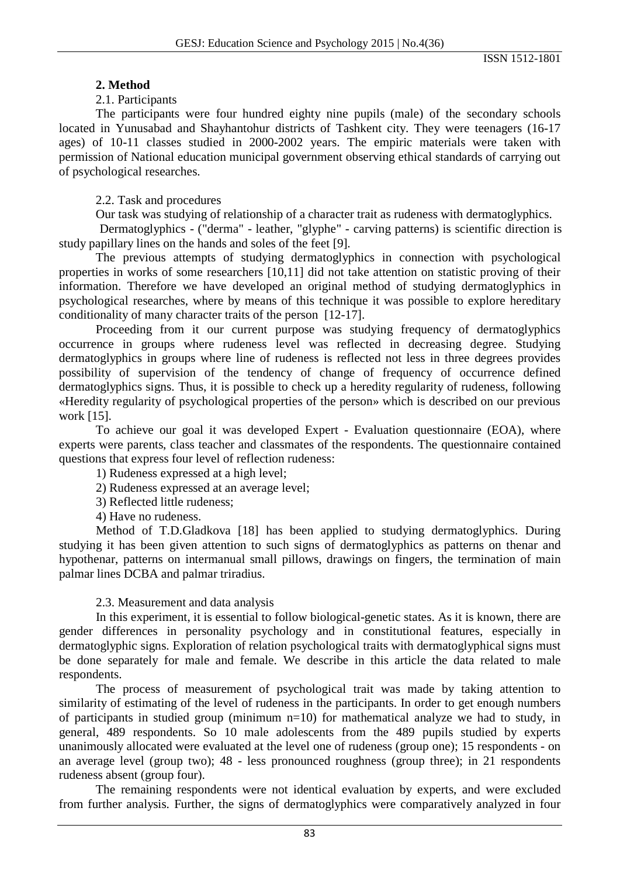### **2. Method**

#### 2.1. Participants

The participants were four hundred eighty nine pupils (male) of the secondary schools located in Yunusabad and Shayhantohur districts of Tashkent city. They were teenagers (16-17 ages) of 10-11 classes studied in 2000-2002 years. The empiric materials were taken with permission of National education municipal government observing ethical standards of carrying out of psychological researches.

2.2. Task and procedures

Our task was studying of relationship of a character trait as rudeness with dermatoglyphics.

Dermatoglyphics - ("derma" - leather, "glyphe" - carving patterns) is scientific direction is study papillary lines on the hands and soles of the feet [9].

The previous attempts of studying dermatoglyphics in connection with psychological properties in works of some researchers [10,11] did not take attention on statistic proving of their information. Therefore we have developed an original method of studying dermatoglyphics in psychological researches, where by means of this technique it was possible to explore hereditary conditionality of many character traits of the person [12-17].

Proceeding from it our current purpose was studying frequency of dermatoglyphics occurrence in groups where rudeness level was reflected in decreasing degree. Studying dermatoglyphics in groups where line of rudeness is reflected not less in three degrees provides possibility of supervision of the tendency of change of frequency of occurrence defined dermatoglyphics signs. Thus, it is possible to check up a heredity regularity of rudeness, following «Heredity regularity of psychological properties of the person» which is described on our previous work [15].

To achieve our goal it was developed Expert - Evaluation questionnaire (EOA), where experts were parents, class teacher and classmates of the respondents. The questionnaire contained questions that express four level of reflection rudeness:

1) Rudeness expressed at a high level;

- 2) Rudeness expressed at an average level;
- 3) Reflected little rudeness;

4) Have no rudeness.

Method of T.D.Gladkova [18] has been applied to studying dermatoglyphics. During studying it has been given attention to such signs of dermatoglyphics as patterns on thenar and hypothenar, patterns on intermanual small pillows, drawings on fingers, the termination of main palmar lines DCBA and palmar triradius.

### 2.3. Measurement and data analysis

In this experiment, it is essential to follow biological-genetic states. As it is known, there are gender differences in personality psychology and in constitutional features, especially in dermatoglyphic signs. Exploration of relation psychological traits with dermatoglyphical signs must be done separately for male and female. We describe in this article the data related to male respondents.

The process of measurement of psychological trait was made by taking attention to similarity of estimating of the level of rudeness in the participants. In order to get enough numbers of participants in studied group (minimum n=10) for mathematical analyze we had to study, in general, 489 respondents. So 10 male adolescents from the 489 pupils studied by experts unanimously allocated were evaluated at the level one of rudeness (group one); 15 respondents - on an average level (group two); 48 - less pronounced roughness (group three); in 21 respondents rudeness absent (group four).

The remaining respondents were not identical evaluation by experts, and were excluded from further analysis. Further, the signs of dermatoglyphics were comparatively analyzed in four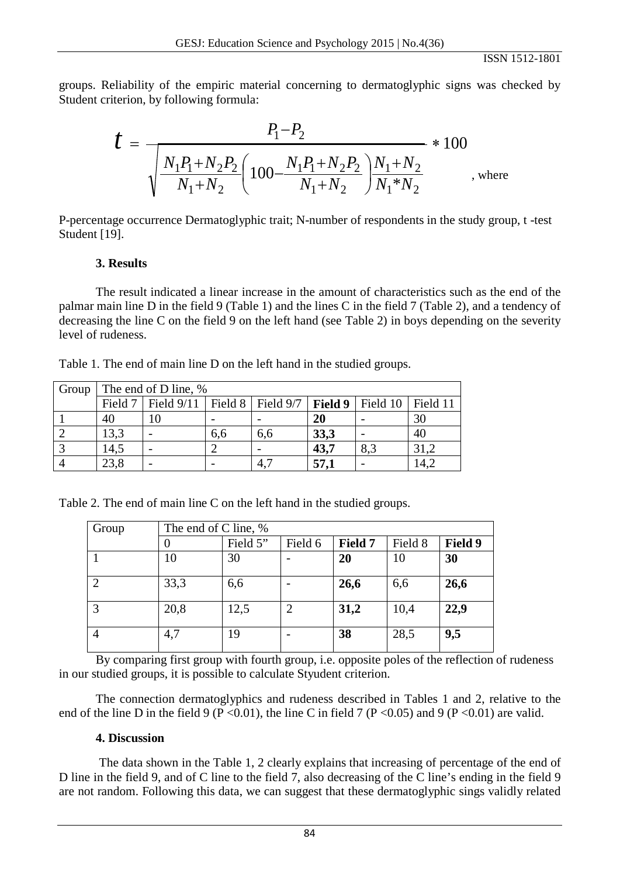ISSN 1512-1801

groups. Reliability of the empiric material concerning to dermatoglyphic signs was checked by Student criterion, by following formula:

$$
t = \frac{P_1 - P_2}{\sqrt{\frac{N_1 P_1 + N_2 P_2}{N_1 + N_2} \left(100 - \frac{N_1 P_1 + N_2 P_2}{N_1 + N_2}\right) \frac{N_1 + N_2}{N_1 * N_2}}}
$$
, where

P-percentage occurrence Dermatoglyphic trait; N-number of respondents in the study group, t -test Student [19].

# **3. Results**

The result indicated a linear increase in the amount of characteristics such as the end of the palmar main line D in the field 9 (Table 1) and the lines C in the field 7 (Table 2), and a tendency of decreasing the line C on the field 9 on the left hand (see Table 2) in boys depending on the severity level of rudeness.

Table 1. The end of main line D on the left hand in the studied groups.

| Group | The end of D line, % |                                                                            |     |     |      |     |      |  |  |
|-------|----------------------|----------------------------------------------------------------------------|-----|-----|------|-----|------|--|--|
|       |                      | Field 7   Field 9/11   Field 8   Field 9/7   Field 9   Field 10   Field 11 |     |     |      |     |      |  |  |
|       | 40                   | 10                                                                         |     |     | 20   |     | 30   |  |  |
|       | 13,3                 |                                                                            | 6.6 | 6.6 | 33,3 |     | 40   |  |  |
|       | 14,5                 |                                                                            |     |     | 43,7 | 8,3 |      |  |  |
|       | 23,8                 |                                                                            |     | 4,  | 57,1 |     | .4,2 |  |  |

Table 2. The end of main line C on the left hand in the studied groups.

| Group                       | The end of C line, % |          |         |         |         |         |  |  |  |
|-----------------------------|----------------------|----------|---------|---------|---------|---------|--|--|--|
|                             |                      | Field 5" | Field 6 | Field 7 | Field 8 | Field 9 |  |  |  |
|                             | 10                   | 30       |         | 20      | 10      | 30      |  |  |  |
| $\mathcal{D}_{\mathcal{L}}$ | 33,3                 | 6,6      |         | 26,6    | 6,6     | 26,6    |  |  |  |
| 3                           | 20,8                 | 12,5     |         | 31,2    | 10,4    | 22,9    |  |  |  |
| 4                           | 4,7                  | 19       |         | 38      | 28,5    | 9,5     |  |  |  |

By comparing first group with fourth group, *i.e.* opposite poles of the reflection of rudeness in our studied groups, it is possible to calculate Styudent criterion.

The connection dermatoglyphics and rudeness described in Tables 1 and 2, relative to the end of the line D in the field 9 (P < 0.01), the line C in field 7 (P < 0.05) and 9 (P < 0.01) are valid.

### **4. Discussion**

The data shown in the Table 1, 2 clearly explains that increasing of percentage of the end of D line in the field 9, and of C line to the field 7, also decreasing of the C line's ending in the field 9 are not random. Following this data, we can suggest that these dermatoglyphic sings validly related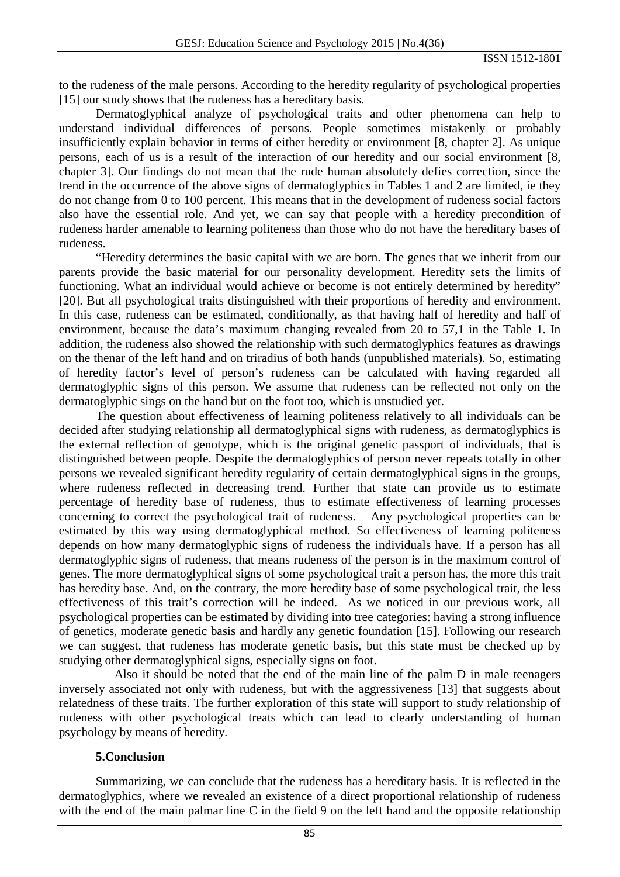to the rudeness of the male persons. According to the heredity regularity of psychological properties [15] our study shows that the rudeness has a hereditary basis.

Dermatoglyphical analyze of psychological traits and other phenomena can help to understand individual differences of persons. People sometimes mistakenly or probably insufficiently explain behavior in terms of either heredity or environment [8, chapter 2]. As unique persons, each of us is a result of the interaction of our heredity and our social environment [8, chapter 3]. Our findings do not mean that the rude human absolutely defies correction, since the trend in the occurrence of the above signs of dermatoglyphics in Tables 1 and 2 are limited, ie they do not change from 0 to 100 percent. This means that in the development of rudeness social factors also have the essential role. And yet, we can say that people with a heredity precondition of rudeness harder amenable to learning politeness than those who do not have the hereditary bases of rudeness.

"Heredity determines the basic capital with we are born. The genes that we inherit from our parents provide the basic material for our personality development. Heredity sets the limits of functioning. What an individual would achieve or become is not entirely determined by heredity" [20]. But all psychological traits distinguished with their proportions of heredity and environment. In this case, rudeness can be estimated, conditionally, as that having half of heredity and half of environment, because the data's maximum changing revealed from 20 to 57,1 in the Table 1. In addition, the rudeness also showed the relationship with such dermatoglyphics features as drawings on the thenar of the left hand and on triradius of both hands (unpublished materials). So, estimating of heredity factor's level of person's rudeness can be calculated with having regarded all dermatoglyphic signs of this person. We assume that rudeness can be reflected not only on the dermatoglyphic sings on the hand but on the foot too, which is unstudied yet.

The question about effectiveness of learning politeness relatively to all individuals can be decided after studying relationship all dermatoglyphical signs with rudeness, as dermatoglyphics is the external reflection of genotype, which is the original genetic passport of individuals, that is distinguished between people. Despite the dermatoglyphics of person never repeats totally in other persons we revealed significant heredity regularity of certain dermatoglyphical signs in the groups, where rudeness reflected in decreasing trend. Further that state can provide us to estimate percentage of heredity base of rudeness, thus to estimate effectiveness of learning processes concerning to correct the psychological trait of rudeness. Any psychological properties can be estimated by this way using dermatoglyphical method. So effectiveness of learning politeness depends on how many dermatoglyphic signs of rudeness the individuals have. If a person has all dermatoglyphic signs of rudeness, that means rudeness of the person is in the maximum control of genes. The more dermatoglyphical signs of some psychological trait a person has, the more this trait has heredity base. And, on the contrary, the more heredity base of some psychological trait, the less effectiveness of this trait's correction will be indeed. As we noticed in our previous work, all psychological properties can be estimated by dividing into tree categories: having a strong influence of genetics, moderate genetic basis and hardly any genetic foundation [15]. Following our research we can suggest, that rudeness has moderate genetic basis, but this state must be checked up by studying other dermatoglyphical signs, especially signs on foot.

 Also it should be noted that the end of the main line of the palm D in male teenagers inversely associated not only with rudeness, but with the aggressiveness [13] that suggests about relatedness of these traits. The further exploration of this state will support to study relationship of rudeness with other psychological treats which can lead to clearly understanding of human psychology by means of heredity.

### **5.Conclusion**

Summarizing, we can conclude that the rudeness has a hereditary basis. It is reflected in the dermatoglyphics, where we revealed an existence of a direct proportional relationship of rudeness with the end of the main palmar line C in the field 9 on the left hand and the opposite relationship